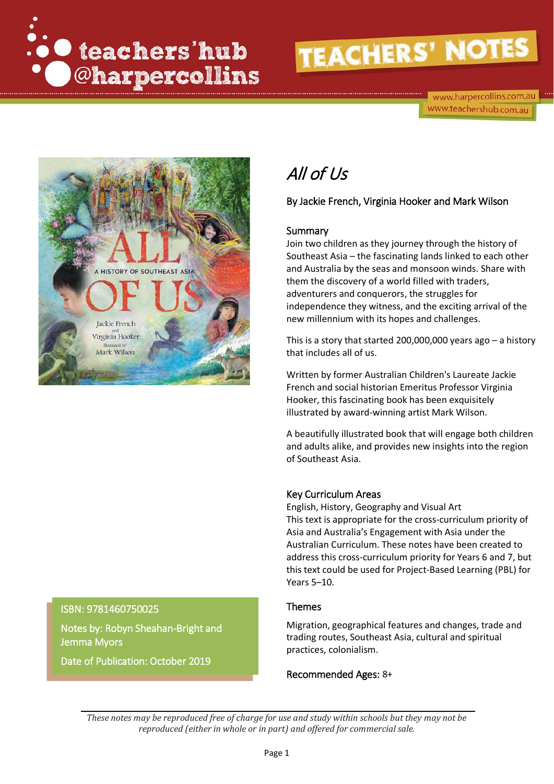

www.harpercollins.com.au www.teachershub.com.au



# All of Us

By Jackie French, Virginia Hooker and Mark Wilson

### Summary

Join two children as they journey through the history of Southeast Asia – the fascinating lands linked to each other and Australia by the seas and monsoon winds. Share with them the discovery of a world filled with traders, adventurers and conquerors, the struggles for independence they witness, and the exciting arrival of the new millennium with its hopes and challenges.

This is a story that started 200,000,000 years ago – a history that includes all of us.

Written by former Australian Children's Laureate Jackie French and social historian Emeritus Professor Virginia Hooker, this fascinating book has been exquisitely illustrated by award-winning artist Mark Wilson.

A beautifully illustrated book that will engage both children and adults alike, and provides new insights into the region of Southeast Asia.

# Key Curriculum Areas

English, History, Geography and Visual Art This text is appropriate for the cross-curriculum priority of Asia and Australia's Engagement with Asia under the Australian Curriculum. These notes have been created to address this cross-curriculum priority for Years 6 and 7, but this text could be used for Project-Based Learning (PBL) for Years 5–10.

#### Themes

Migration, geographical features and changes, trade and trading routes, Southeast Asia, cultural and spiritual practices, colonialism.

Recommended Ages: 8+

# Jemma Myors

Date of Publication: October 2019

Notes by: Robyn Sheahan-Bright and

ISBN: 9781460750025

*These notes may be reproduced free of charge for use and study within schools but they may not be reproduced (either in whole or in part) and offered for commercial sale.*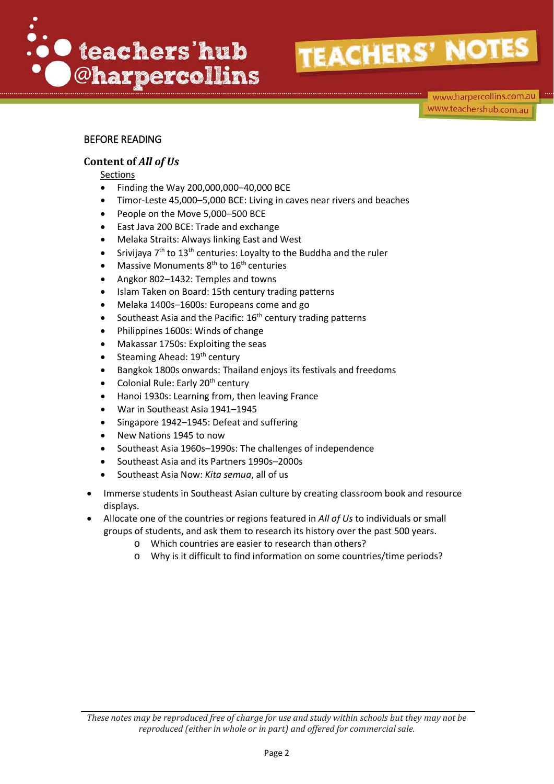

www.harpercollins.com.au www.teachershub.com.au

### BEFORE READING

### **Content of** *All of Us*

Sections

- Finding the Way 200,000,000–40,000 BCE
- Timor-Leste 45,000–5,000 BCE: Living in caves near rivers and beaches
- People on the Move 5,000-500 BCE
- East Java 200 BCE: Trade and exchange
- Melaka Straits: Always linking East and West
- Srivijaya  $7<sup>th</sup>$  to  $13<sup>th</sup>$  centuries: Loyalty to the Buddha and the ruler
- Massive Monuments 8<sup>th</sup> to 16<sup>th</sup> centuries
- Angkor 802–1432: Temples and towns
- Islam Taken on Board: 15th century trading patterns
- Melaka 1400s–1600s: Europeans come and go
- Southeast Asia and the Pacific:  $16<sup>th</sup>$  century trading patterns
- Philippines 1600s: Winds of change
- Makassar 1750s: Exploiting the seas
- Steaming Ahead: 19<sup>th</sup> century
- Bangkok 1800s onwards: Thailand enjoys its festivals and freedoms
- Colonial Rule: Early 20<sup>th</sup> century
- Hanoi 1930s: Learning from, then leaving France
- War in Southeast Asia 1941–1945
- Singapore 1942–1945: Defeat and suffering
- New Nations 1945 to now
- Southeast Asia 1960s–1990s: The challenges of independence
- Southeast Asia and its Partners 1990s–2000s
- Southeast Asia Now: *Kita semua*, all of us
- Immerse students in Southeast Asian culture by creating classroom book and resource displays.
- Allocate one of the countries or regions featured in *All of Us* to individuals or small groups of students, and ask them to research its history over the past 500 years.
	- o Which countries are easier to research than others?
	- o Why is it difficult to find information on some countries/time periods?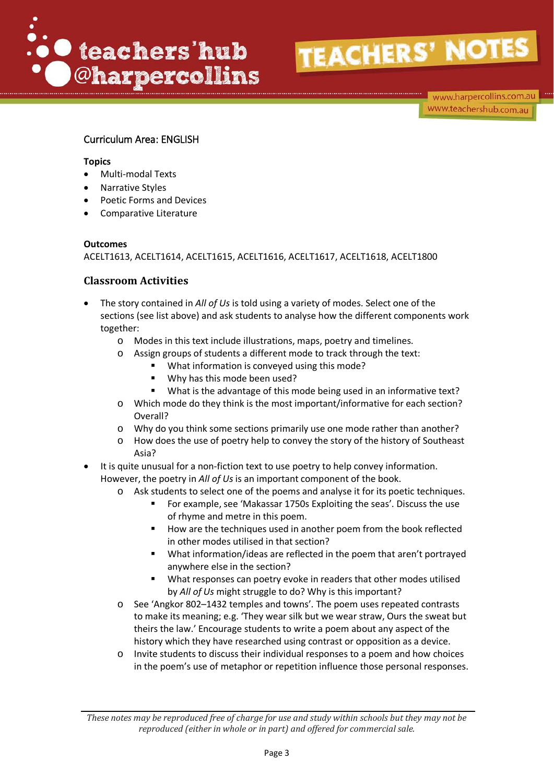

www.harpercollins.com.au www.teachershub.com.au

# Curriculum Area: ENGLISH

#### **Topics**

- Multi-modal Texts
- Narrative Styles
- Poetic Forms and Devices
- Comparative Literature

#### **Outcomes**

ACELT1613, ACELT1614, ACELT1615, ACELT1616, ACELT1617, ACELT1618, ACELT1800

- The story contained in *All of Us* is told using a variety of modes. Select one of the sections (see list above) and ask students to analyse how the different components work together:
	- o Modes in this text include illustrations, maps, poetry and timelines.
	- o Assign groups of students a different mode to track through the text:
		- What information is conveyed using this mode?
		- **Why has this mode been used?**
		- What is the advantage of this mode being used in an informative text?
	- o Which mode do they think is the most important/informative for each section? Overall?
	- o Why do you think some sections primarily use one mode rather than another?
	- o How does the use of poetry help to convey the story of the history of Southeast Asia?
- It is quite unusual for a non-fiction text to use poetry to help convey information. However, the poetry in *All of Us* is an important component of the book.
	- o Ask students to select one of the poems and analyse it for its poetic techniques.
		- For example, see 'Makassar 1750s Exploiting the seas'. Discuss the use of rhyme and metre in this poem.
		- How are the techniques used in another poem from the book reflected in other modes utilised in that section?
		- What information/ideas are reflected in the poem that aren't portrayed anywhere else in the section?
		- What responses can poetry evoke in readers that other modes utilised by *All of Us* might struggle to do? Why is this important?
	- o See 'Angkor 802–1432 temples and towns'. The poem uses repeated contrasts to make its meaning; e.g. 'They wear silk but we wear straw, Ours the sweat but theirs the law.' Encourage students to write a poem about any aspect of the history which they have researched using contrast or opposition as a device.
	- o Invite students to discuss their individual responses to a poem and how choices in the poem's use of metaphor or repetition influence those personal responses.

*These notes may be reproduced free of charge for use and study within schools but they may not be reproduced (either in whole or in part) and offered for commercial sale.*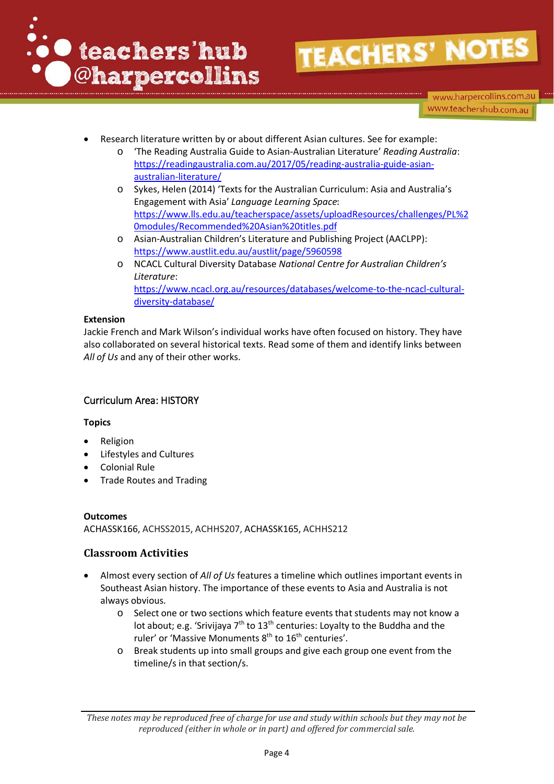

www.harpercollins.com.au www.teachershub.com.au

- Research literature written by or about different Asian cultures. See for example:
	- o 'The Reading Australia Guide to Asian-Australian Literature' *Reading Australia*: [https://readingaustralia.com.au/2017/05/reading-australia-guide-asian](https://readingaustralia.com.au/2017/05/reading-australia-guide-asian-australian-literature/)[australian-literature/](https://readingaustralia.com.au/2017/05/reading-australia-guide-asian-australian-literature/)
	- o Sykes, Helen (2014) 'Texts for the Australian Curriculum: Asia and Australia's Engagement with Asia' *Language Learning Space*: [https://www.lls.edu.au/teacherspace/assets/uploadResources/challenges/PL%2](https://www.lls.edu.au/teacherspace/assets/uploadResources/challenges/PL%20modules/Recommended%20Asian%20titles.pdf) [0modules/Recommended%20Asian%20titles.pdf](https://www.lls.edu.au/teacherspace/assets/uploadResources/challenges/PL%20modules/Recommended%20Asian%20titles.pdf)
	- o Asian-Australian Children's Literature and Publishing Project (AACLPP): <https://www.austlit.edu.au/austlit/page/5960598>
	- o NCACL Cultural Diversity Database *National Centre for Australian Children's Literature*: https://www.ncacl.org.au/resources/databases/welcome-to-the-ncacl-culturaldiversity-database/

#### **Extension**

Jackie French and Mark Wilson's individual works have often focused on history. They have also collaborated on several historical texts. Read some of them and identify links between *All of Us* and any of their other works.

# Curriculum Area: HISTORY

#### **Topics**

- **Religion**
- Lifestyles and Cultures
- Colonial Rule
- Trade Routes and Trading

# **Outcomes**

ACHASSK166, ACHSS2015, ACHHS207, ACHASSK165, ACHHS212

- Almost every section of *All of Us* features a timeline which outlines important events in Southeast Asian history. The importance of these events to Asia and Australia is not always obvious.
	- o Select one or two sections which feature events that students may not know a lot about; e.g. 'Srivijaya  $7<sup>th</sup>$  to  $13<sup>th</sup>$  centuries: Loyalty to the Buddha and the ruler' or 'Massive Monuments 8<sup>th</sup> to 16<sup>th</sup> centuries'.
	- o Break students up into small groups and give each group one event from the timeline/s in that section/s.

*These notes may be reproduced free of charge for use and study within schools but they may not be reproduced (either in whole or in part) and offered for commercial sale.*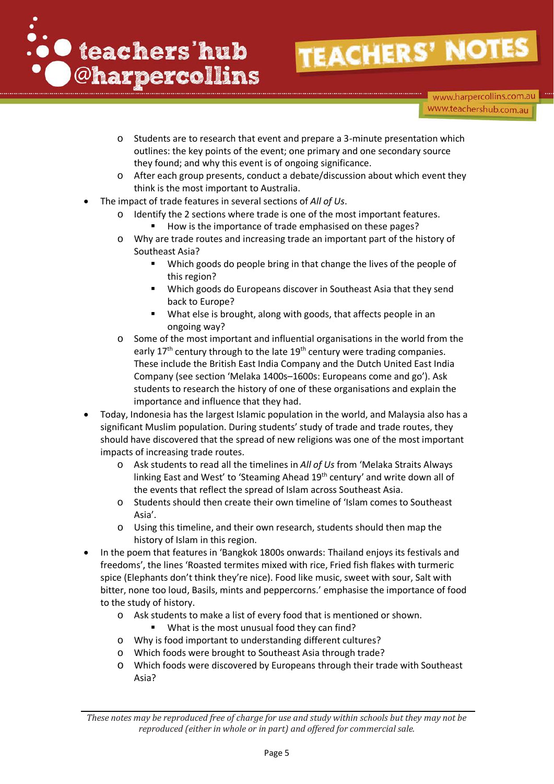

www.harpercollins.com.au www.teachershub.com.au

- o Students are to research that event and prepare a 3-minute presentation which outlines: the key points of the event; one primary and one secondary source they found; and why this event is of ongoing significance.
- o After each group presents, conduct a debate/discussion about which event they think is the most important to Australia.
- The impact of trade features in several sections of *All of Us*.
	- Identify the 2 sections where trade is one of the most important features.
		- How is the importance of trade emphasised on these pages?
	- o Why are trade routes and increasing trade an important part of the history of Southeast Asia?
		- **Which goods do people bring in that change the lives of the people of** this region?
		- **Which goods do Europeans discover in Southeast Asia that they send** back to Europe?
		- What else is brought, along with goods, that affects people in an ongoing way?
	- Some of the most important and influential organisations in the world from the early  $17<sup>th</sup>$  century through to the late  $19<sup>th</sup>$  century were trading companies. These include the British East India Company and the Dutch United East India Company (see section 'Melaka 1400s–1600s: Europeans come and go'). Ask students to research the history of one of these organisations and explain the importance and influence that they had.
- Today, Indonesia has the largest Islamic population in the world, and Malaysia also has a significant Muslim population. During students' study of trade and trade routes, they should have discovered that the spread of new religions was one of the most important impacts of increasing trade routes.
	- o Ask students to read all the timelines in *All of Us* from 'Melaka Straits Always linking East and West' to 'Steaming Ahead 19<sup>th</sup> century' and write down all of the events that reflect the spread of Islam across Southeast Asia.
	- o Students should then create their own timeline of 'Islam comes to Southeast Asia'.
	- o Using this timeline, and their own research, students should then map the history of Islam in this region.
- In the poem that features in 'Bangkok 1800s onwards: Thailand enjoys its festivals and freedoms', the lines 'Roasted termites mixed with rice, Fried fish flakes with turmeric spice (Elephants don't think they're nice). Food like music, sweet with sour, Salt with bitter, none too loud, Basils, mints and peppercorns.' emphasise the importance of food to the study of history.
	- o Ask students to make a list of every food that is mentioned or shown.
		- What is the most unusual food they can find?
	- o Why is food important to understanding different cultures?
	- o Which foods were brought to Southeast Asia through trade?
	- o Which foods were discovered by Europeans through their trade with Southeast Asia?

*These notes may be reproduced free of charge for use and study within schools but they may not be reproduced (either in whole or in part) and offered for commercial sale.*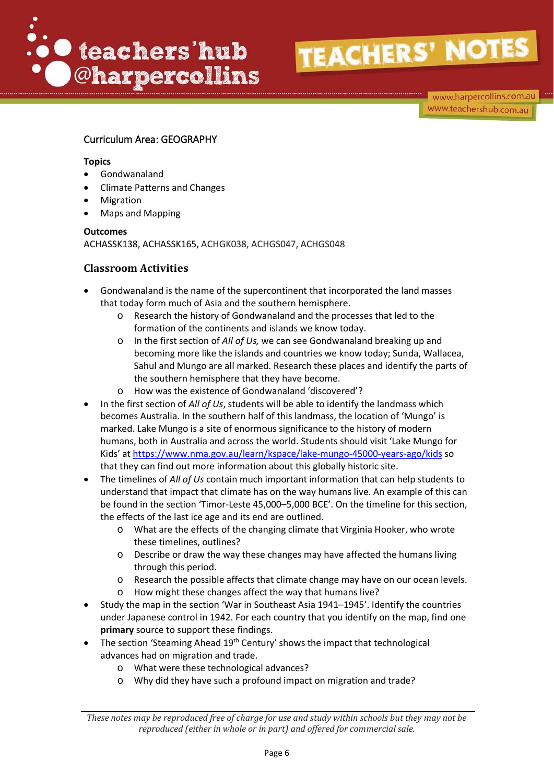

www.harpercollins.com.au www.teachershub.com.au

# Curriculum Area: GEOGRAPHY

#### **Topics**

- Gondwanaland
- Climate Patterns and Changes
- **Migration**
- Maps and Mapping

#### **Outcomes**

ACHASSK138, ACHASSK165, ACHGK038, ACHGS047, ACHGS048

- Gondwanaland is the name of the supercontinent that incorporated the land masses that today form much of Asia and the southern hemisphere.
	- o Research the history of Gondwanaland and the processes that led to the formation of the continents and islands we know today.
	- o In the first section of *All of Us,* we can see Gondwanaland breaking up and becoming more like the islands and countries we know today; Sunda, Wallacea, Sahul and Mungo are all marked. Research these places and identify the parts of the southern hemisphere that they have become.
	- o How was the existence of Gondwanaland 'discovered'?
- In the first section of *All of Us*, students will be able to identify the landmass which becomes Australia. In the southern half of this landmass, the location of 'Mungo' is marked. Lake Mungo is a site of enormous significance to the history of modern humans, both in Australia and across the world. Students should visit 'Lake Mungo for Kids' at<https://www.nma.gov.au/learn/kspace/lake-mungo-45000-years-ago/kids> so that they can find out more information about this globally historic site.
- The timelines of *All of Us* contain much important information that can help students to understand that impact that climate has on the way humans live. An example of this can be found in the section 'Timor-Leste 45,000–5,000 BCE'. On the timeline for this section, the effects of the last ice age and its end are outlined.
	- o What are the effects of the changing climate that Virginia Hooker, who wrote these timelines, outlines?
	- o Describe or draw the way these changes may have affected the humans living through this period.
	- o Research the possible affects that climate change may have on our ocean levels.
	- o How might these changes affect the way that humans live?
- Study the map in the section 'War in Southeast Asia 1941–1945'. Identify the countries under Japanese control in 1942. For each country that you identify on the map, find one **primary** source to support these findings.
- The section 'Steaming Ahead 19<sup>th</sup> Century' shows the impact that technological advances had on migration and trade.
	- o What were these technological advances?
	- o Why did they have such a profound impact on migration and trade?

*These notes may be reproduced free of charge for use and study within schools but they may not be reproduced (either in whole or in part) and offered for commercial sale.*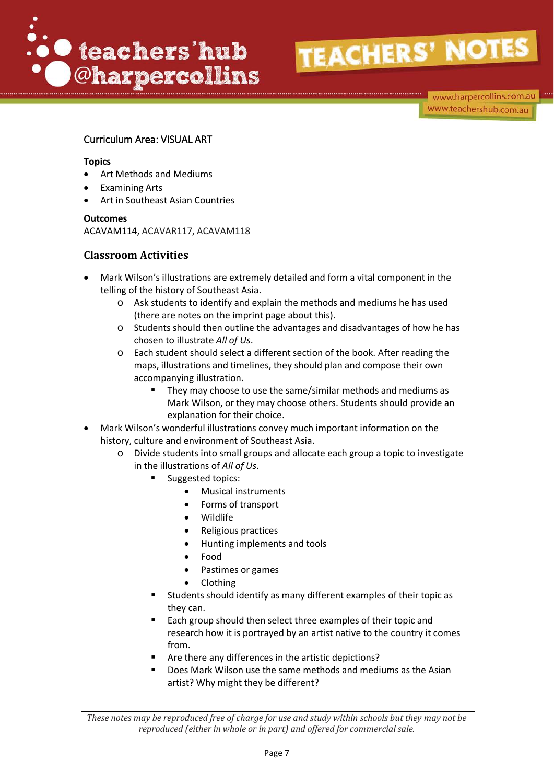

www.harpercollins.com.au www.teachershub.com.au

### Curriculum Area: VISUAL ART

#### **Topics**

- Art Methods and Mediums
- Examining Arts
- Art in Southeast Asian Countries

#### **Outcomes**

ACAVAM114, ACAVAR117, ACAVAM118

- Mark Wilson's illustrations are extremely detailed and form a vital component in the telling of the history of Southeast Asia.
	- o Ask students to identify and explain the methods and mediums he has used (there are notes on the imprint page about this).
	- o Students should then outline the advantages and disadvantages of how he has chosen to illustrate *All of Us*.
	- o Each student should select a different section of the book. After reading the maps, illustrations and timelines, they should plan and compose their own accompanying illustration.
		- **They may choose to use the same/similar methods and mediums as** Mark Wilson, or they may choose others. Students should provide an explanation for their choice.
- Mark Wilson's wonderful illustrations convey much important information on the history, culture and environment of Southeast Asia.
	- o Divide students into small groups and allocate each group a topic to investigate in the illustrations of *All of Us*.
		- Suggested topics:
			- Musical instruments
			- Forms of transport
			- Wildlife
			- Religious practices
			- Hunting implements and tools
			- Food
			- Pastimes or games
			- Clothing
		- Students should identify as many different examples of their topic as they can.
		- Each group should then select three examples of their topic and research how it is portrayed by an artist native to the country it comes from.
		- Are there any differences in the artistic depictions?
		- Does Mark Wilson use the same methods and mediums as the Asian artist? Why might they be different?

*These notes may be reproduced free of charge for use and study within schools but they may not be reproduced (either in whole or in part) and offered for commercial sale.*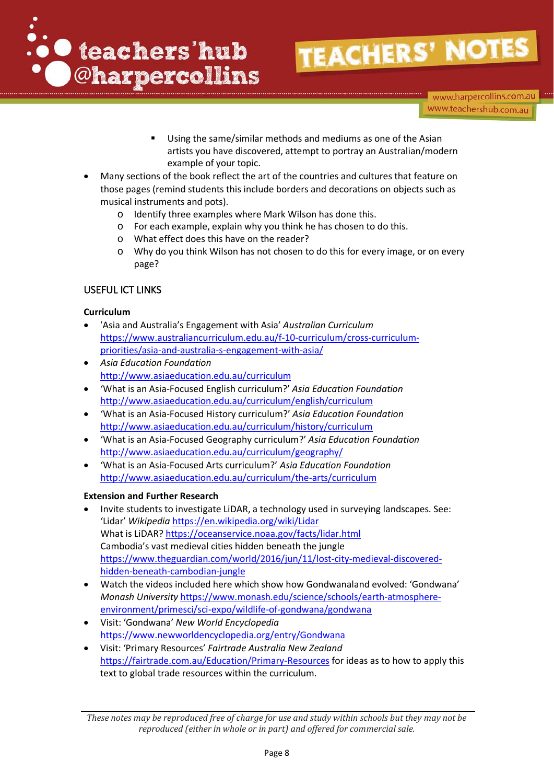

www.harpercollins.com.au www.teachershub.com.au

- Using the same/similar methods and mediums as one of the Asian artists you have discovered, attempt to portray an Australian/modern example of your topic.
- Many sections of the book reflect the art of the countries and cultures that feature on those pages (remind students this include borders and decorations on objects such as musical instruments and pots).
	- o Identify three examples where Mark Wilson has done this.
	- o For each example, explain why you think he has chosen to do this.
	- o What effect does this have on the reader?
	- o Why do you think Wilson has not chosen to do this for every image, or on every page?

#### USEFUL ICT LINKS

#### **Curriculum**

- 'Asia and Australia's Engagement with Asia' *Australian Curriculum*  [https://www.australiancurriculum.edu.au/f-10-curriculum/cross-curriculum](https://www.australiancurriculum.edu.au/f-10-curriculum/cross-curriculum-priorities/asia-and-australia-s-engagement-with-asia/)[priorities/asia-and-australia-s-engagement-with-asia/](https://www.australiancurriculum.edu.au/f-10-curriculum/cross-curriculum-priorities/asia-and-australia-s-engagement-with-asia/)
- *Asia Education Foundation* <http://www.asiaeducation.edu.au/curriculum>
- 'What is an Asia-Focused English curriculum?' *Asia Education Foundation* <http://www.asiaeducation.edu.au/curriculum/english/curriculum>
- 'What is an Asia-Focused History curriculum?' *Asia Education Foundation* http://www.asiaeducation.edu.au/curriculum/history/curriculum
- 'What is an Asia-Focused Geography curriculum?' *Asia Education Foundation* <http://www.asiaeducation.edu.au/curriculum/geography/>
- 'What is an Asia-Focused Arts curriculum?' *Asia Education Foundation* <http://www.asiaeducation.edu.au/curriculum/the-arts/curriculum>

#### **Extension and Further Research**

- Invite students to investigate LiDAR, a technology used in surveying landscapes. See: 'Lidar' *Wikipedia* <https://en.wikipedia.org/wiki/Lidar> What is LiDAR?<https://oceanservice.noaa.gov/facts/lidar.html> Cambodia's vast medieval cities hidden beneath the jungle [https://www.theguardian.com/world/2016/jun/11/lost-city-medieval-discovered](https://www.theguardian.com/world/2016/jun/11/lost-city-medieval-discovered-hidden-beneath-cambodian-jungle)[hidden-beneath-cambodian-jungle](https://www.theguardian.com/world/2016/jun/11/lost-city-medieval-discovered-hidden-beneath-cambodian-jungle)
- Watch the videos included here which show how Gondwanaland evolved: 'Gondwana' *Monash University* [https://www.monash.edu/science/schools/earth-atmosphere](https://www.monash.edu/science/schools/earth-atmosphere-environment/primesci/sci-expo/wildlife-of-gondwana/gondwana)[environment/primesci/sci-expo/wildlife-of-gondwana/gondwana](https://www.monash.edu/science/schools/earth-atmosphere-environment/primesci/sci-expo/wildlife-of-gondwana/gondwana)
- Visit: 'Gondwana' *New World Encyclopedia* <https://www.newworldencyclopedia.org/entry/Gondwana>
- Visit: 'Primary Resources' *Fairtrade Australia New Zealand* <https://fairtrade.com.au/Education/Primary-Resources> for ideas as to how to apply this text to global trade resources within the curriculum.

*These notes may be reproduced free of charge for use and study within schools but they may not be reproduced (either in whole or in part) and offered for commercial sale.*